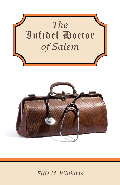

## Effie M. Williams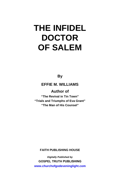**By**

**EFFIE M. WILLIAMS** 

**Author of** 

**"The Revival in Tin Town" "Trials and Triumphs of Eva Grant" "The Man of His Counsel"**

**FAITH PUBLISHING HOUSE**

*Digitally Published by*  **GOSPEL TRUTH PUBLISHING <www.churchofgodeveninglight.com>**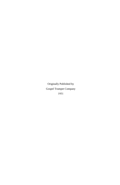Originally Published by Gospel Trumpet Company 1931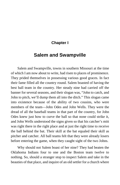### **Chapter I**

### **Salem and Swampville**

Salem and Swampville, towns in southern Missouri at the time of which I am now about to write, had risen to places of prominence. They prided themselves in possessing various good graces. In fact their fame filled all the country round. Salem boasted of having the best ball team in the country. Her steady nine had carried off the banner for several seasons, and their slogan was, "John to catch, and John to pitch, we'll dump them all into the ditch." This slogan came into existence because of the ability of two cousins, who were members of the team—John Odes and John Wells. They were the dread of all the baseball teams in that part of the country, for John Odes knew just how to curve the ball so that none could strike it, and John Wells understood the signs given so that his catcher's mitt was right there in the right place and at just the right time to receive the ball behind the bat. Their skill at the bat equaled their skill as pitcher and catcher. All ball teams felt that they were already losers before entering the game, when they caught sight of the two Johns.

Why should not Salem boast of her nine? They had beaten the Oklahoma Indians four to one and the Boston team twelve to nothing. So, should a stranger stop to inspect Salem and take in the beauties of that place, and inquire of an old settler for a church where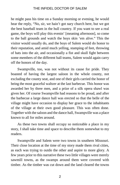he might pass his time on a Sunday morning or evening, he would hear the reply, "No, sir, we hain't got nary church here, but we got the best baseball team in the hull country. If you want to see a real game, the boys will play this evenin' [meaning afternoon], so come to the ball grounds and watch the boys skin 'em alive." This the visitor would usually do, and the boys of Salem would do honor to their reputation, and amid much yelling, stamping of feet, throwing of hats into the air, and occasionally a fist and skull fight between some members of the different ball teams, Salem would again carry off the honors of the day.

Swampville, too, was not without its cause for pride. They boasted of having the largest saloon in the whole county, not excluding the county seat, and one of their girls carried the honor of being the most graceful waltzer at the last barbecue. This honor was awarded her by three men, and a prize of a silk opera shawl was given her. Of course Swampville had reasons to be proud, and after the barbecue a large dance hall was erected so that the belle of the village might have occasion to display her grace to the inhabitants of the village at their own good pleasure. This was often done. Together with the saloon and the dance hall, Swampville was a place known to all for miles around.

As these two towns shall occupy so noticeable a place in my story, I shall take time and space to describe them somewhat to my readers.

Swampville and Salem were two towns in southern Missouri. Their close location at the time of my story made them rival cities, as each was trying to outdo the other and aspire to more glory. A few years prior to this narrative these two little villages were merely sawmill towns, as the swamps around them were covered with timber. As the timber was cut down and the land cleared the towns

2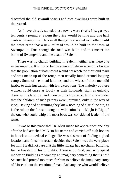discarded the old sawmill shacks and nice dwellings were built in their stead.

As I have already stated, these towns were rivals; if sugar was ten cents a pound at Salem the price would be nine and one half cents at Swampville. Thus in all things they rivaled each other, until the news came that a new railroad would be built to the town of Swampville. True enough the road was built, and this meant the boom of Swampville and the death of Salem.

There was no church building in Salem; neither was there one in Swampville. It is not to be the source of alarm when it is known that the population of both towns would not reach the thousand mark and was made up of the rough men usually found around logging camps. Some of them had families, and the wives of these men did justice to their husbands, with few exceptions. The majority of these women could curse as loudly as their husbands, fight as quickly, drink as much booze, and chew as much tobacco. Is it any wonder that the children of such parents were untrained, only in the way of vice? Having had no training they knew nothing of discipline but, as is the rule in the forest among the wild animals—"Might is Right," the one who could whip the most boys was considered leader of the gang.

It was to this place that Dr. Molt made his appearance one day after he had attached M.D. to his name and carried off high honors in his class in medical college. He was desirous of finding a good location, and for some reason decided that Salem was the very place for him. He did not care that the little village had no church building, for he boasted of his infidelity. There is no God, and why spend money on buildings to worship an imaginary something that is not? Science had proved too much for him to believe the imaginary story of Moses about the creation of man. And anyone who would believe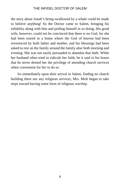the story about Jonah's being swallowed by a whale could be made to believe anything! So the Doctor came to Salem, bringing his infidelity along with him and priding himself in so doing. His good wife, however, could not be convinced that there is no God, for she had been reared in a home where the God of heaven had been reverenced by both father and mother, and his blessings had been asked to rest on the family around the family altar both morning and evening. She was not easily persuaded to abandon that faith. While her husband often tried to ridicule her faith, be it said to his honor that he never denied her the privilege of attending church services when convenient for her to do so.

So immediately upon their arrival in Salem, finding no church building there nor any religious services, Mrs. Molt began to take steps toward having some form of religious worship.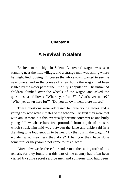### **Chapter II**

### **A Revival in Salem**

Excitement ran high in Salem. A covered wagon was seen standing near the little village, and a strange man was asking where he might find lodging. Of course the whole town wanted to see the newcomers, and in the course of a few hours the wagon had been visited by the major part of the little city's population. The untrained children climbed over the wheels of the wagon and asked the questions, as follows: "Where yer frum?" "What's yer name?" "What yer down here fur?" "Do you all own them there horses?"

These questions were addressed to three young ladies and a young boy who were inmates of the schooner. At first they were met with amusement, but this eventually became contempt as one burly young fellow whose bare feet protruded from a pair of trousers which struck him mid-way between the knee and ankle said in a drawling tone loud enough to be heard by the four in the wagon, "I wonder what meanness they done? I bet you they have done somethin' or they would not come to this place."

After a few weeks these four understood the calling forth of this remark, for they found that this part of the country had often been visited by some secret service men and someone who had been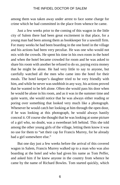among them was taken away under arrest to face some charge for crime which he had committed in the place from whence he came.

Just a few weeks prior to the coming of this wagon in the little city of Salem there had been great excitement in that place, for a young man had been among them as bookkeeper for a sawmill firm. For many weeks he had been boarding in the one hotel in the village and his actions had been very peculiar. He was one who would not mix with the crowds. He spent his time in his own room in the hotel and when the hotel became crowded for room and he was asked to share his room with another he refused to do so, paying extra money that he might be alone. He had very little to say to anyone, but carefully watched all the men who came into the hotel for their meals. The hotel keeper's daughter tried to be very friendly with him, and while he never was snobbish in any way, his actions proved that he wanted to be left alone. Often she would pass his door when he would be alone in his room, and as it was in the summer time and quite warm, she would notice that he was always either reading or poring over something that looked very much like a photograph. Whenever he would catch her looking at him through the open door, if he was looking at this photograph, he would always hastily conceal it. Of course she thought that he was looking at some picture of a girl who, no doubt, was a sweetheart left behind. This she told among the other young girls of the village, letting them know it was no use for them to "set their cap for Francis Murrey, for he already had a girl somewhere else."

But one day just a few weeks before the arrival of this covered wagon in Salem, Francis Murrey walked up to a man who was also boarding at the hotel and who had given his name as Tom Peffer, and asked him if he knew anyone in the country from whence he came by the name of Richard Bowles. Tom started quickly, which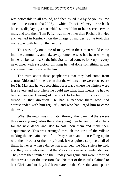was noticeable to all around, and then asked, "Why do you ask me such a question as that?" Upon which Francis Murrey threw back his coat, displaying a star which showed him to be a secret service man, and told them Tom Peffer was none other than Richard Bowles and wanted in Kentucky on the charge of murder. So he took this man away with him on the next train.

This was only one time of many when these men would come into the community and take away someone who had been working in the lumber camps. So the inhabitants had come to look upon every newcomer with suspicion, thinking he had done something wrong and came there to evade the law.

The truth about these people was that they had come from central Ohio and for the reason that the winters there were too severe for Mr. May and he was searching for a place where the winters were less severe and also where he could use what little means he had to best advantage. Hearing of the work to be had in this locality he turned in that direction. He had a nephew there who had corresponded with him regularly and who had urged him to come that way.

When the news was circulated through the town that there were three more young ladies there, the young men began to make plans for the next dance and also to call upon them and make their acquaintance. This was arranged through the girls of the village making the acquaintance of the May sisters and then calling again with their brother or their boyfriend. It was quite a surprise to all of them, however, when a dance was arranged, the May sisters invited, and they were informed that the May sisters never attended dances. They were then invited to the Sunday ball game and were informed that it was out of the question also. Neither of these girls claimed to be a Christian, but they had been reared in that Christian atmosphere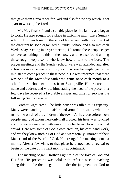that gave them a reverence for God and also for the day which is set apart to worship the Lord.

Mr. May finally found a suitable place for his family and began to work. He also sought for a place in which he might have Sunday school. This was found in the school house, and with the consent of the directors he soon organized a Sunday school and also met each Wednesday evening in prayer meeting. He found these people eager to have something like this in their town, and he also found among those rough people some who knew how to talk to the Lord. The prayer meetings and the Sunday school were well attended and after a few services he made inquiry as to where he might get some minister to come preach to these people. He was informed that there was one of the Methodist faith who came once each month to a school house about two miles from Swampville. He procured his name and address and wrote him, stating the need of the place. In a few days he received a favorable answer and time for services the following Sunday was set.

Brother Light came. The little house was filled to its capacity. Many were standing in the aisles and around the walls, while the rostrum was full of the children of the town. As he arose before those people, many of whom were only half clothed, his heart was touched and his voice quivered with emotion as he began to address that crowd. Here was some of God's own creation, his own handiwork, and yet they knew nothing of God and were totally ignorant of their Maker and of the Word of God. He arranged for meetings once a month. After a few visits to that place he announced a revival to begin on the date of his next monthly appointment.

The meeting began. Brother Light told of the love of God and His Son. His preaching was solid truth. After a week's teaching along this line he then began to thunder the judgments of God to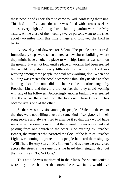those people and exhort them to come to God, confessing their sins. This had its effect, and the altar was filled with earnest seekers almost every night. Among those claiming pardon were the May sisters. At the close of the meeting twelve persons went to the river about two miles from this little village and followed the Lord in baptism.

A new day had dawned for Salem. The people were stirred. Immediately steps were taken to erect a new church building, where they might have a suitable place to worship. Lumber was soon on the ground. It was not long until a place of worship had been erected that would do justice to any little city. But while the Lord was working among these people the devil was working also. When one building was erected the people seemed to think they needed another building also; for some did not believe the doctrine taught by Preacher Light, and therefore did not feel that they could worship with any of his followers. Accordingly another building was erected directly across the street from the first one. These two churches became rivals one of the other.

So there was a division among the people of Salem to the extent that they were not willing to use the same kind of songbooks in their song service and always tried to arrange it so that they would have services at the same hour so that there would be no opportunity of passing from one church to the other. One evening as Preacher Bennet, the minister who pastored the flock of the faith of Preacher Light, was coming to preach to his people he heard them singing, "Will There Be Any Stars in My Crown?" and as there were services across the street at the same hour, he heard them singing also, but their song was "No, Not One."

This attitude was manifested in their lives, for so antagonistic were they to each other that often these two faiths would live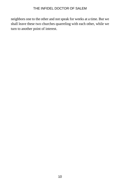neighbors one to the other and not speak for weeks at a time. But we shall leave these two churches quarreling with each other, while we turn to another point of interest.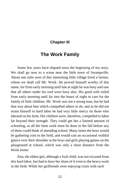### **Chapter III**

### **The Work Family**

Some few years have elapsed since the beginning of my story. We shall go now to a scene near the little town of Swampville. About one mile west of this interesting little village lived a farmer, whom we shall call Mr. Work. He proved himself worthy of this name, for from early morning until late at night he was busy and saw that all others under his roof were busy also. His good wife toiled from early morning until far into the hours of night to care for the family of little children. Mr. Work was not a strong man, but he had that way about him which compelled others to do, and as he did not strain himself to hard labor he had very little mercy on those who labored on his farm. His children were, therefore, compelled to labor far beyond their strength. They could get but a limited amount of schooling, as all the farm work must be done in the fall before any of them could think of attending school. Many times the boys would be gathering corn in the field, and would cast an occasional wishful glance over their shoulder at the boys and girls playing games on the playground at school, which was only a short distance from the Work home.

Etta, the eldest girl, although a frail child, was not excused from this hard labor, but had to have her share of it even to the heavy work in the field. While her girlfriends were enjoying visits with each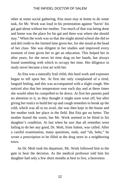other at some social gathering, Etta must stay at home to do some task, for Mr. Work was loud in his protestation against "havin' his gal gad about without her mother. Too much of that was being done and home was the place for his gal and there was where she should stay." When the work was so that she might attend school she did so and did credit to the limited time given her, for she stood at the head of her class. She was diligent in her studies and improved every moment of time given her to get an education. This helped her in after years, for she never let time drag on her hands, but always found something with which to occupy her time. Her diligence in study never became a lost art with her.

As Etta was a naturally frail child, this hard work and exposure began to tell upon her. At first she only complained of a tired, languid feeling, and this was accompanied with a slight cough. She noticed also that her temperature rose each day and at these times she would often be compelled to lie down. At first her parents paid no attention to it, as they thought it might soon wear off, but after giving her tonics to build her up and cough remedies to break up the cold, which was all to no avail, she was then kept in the house and her mother took her place in the field. But Etta got no better. The mother feared the worst, but Mr. Work seemed to be blind to his daughter's condition. At last when he saw that all remedies were failing to do her any good, Dr. Molt, from Salem, was called. After a careful examination, many questions, nods, and "uh, huhs," he wrote a prescription to be filled at the drug store in a neighboring town.

As Dr. Molt took his departure, Mr. Work followed him to the gate to hear the decision. As the medical professor told him his daughter had only a few short months at best to live, a heaviness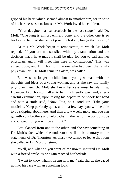gripped his heart which seemed almost to smother him, for in spite of his hardness as a taskmaster, Mr. Work loved his children.

"Your daughter has tuberculosis in the last stage," said Dr. Molt. "One lung is almost entirely gone, and the other one is so badly affected that she cannot possibly last any longer than spring."

At this Mr. Work began to remonstrate, to which Dr. Molt replied, "If you are not satisfied with my examination and the decision that I have made I shall be glad for you to call another physician, and I will meet him here in consultation." This was agreed upon, and Dr. Thornton, the one who had been the family physician until Dr. Molt came to Salem, was called.

Etta was no longer a child, but a young woman, with the thoughts and ideas of a young woman, and as she saw the family physician meet Dr. Molt she knew her case must be alarming. However, Dr. Thornton talked to her in a friendly way, and, after a careful examination, upon taking his departure he shook her hand and with a smile said, "Now, Etta, be a good girl. Take your medicine. Keep perfectly quiet, and in a few days you will be able to be skipping about here. And then a few weeks more and you can go with your brothers and help gather in the last of the corn. Just be encouraged, for you will be all right."

Etta glanced from one to the other, and she saw something in Dr. Molt's face which she understood well to be contrary to the statements of Dr. Thornton. As these two turned to leave the room she called to Dr. Molt to return.

"Well, and what do you want of me now?" inquired Dr. Molt with a forced smile, as he again reached her bedside.

"I want to know what is wrong with me," said she, as she gazed up into his face with an appealing look.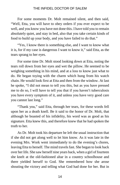For some moments Dr. Molt remained silent, and then said, "Well, Etta, you will have to obey orders if you ever expect to be well, and you know you have not done this. I have told you to remain absolutely quiet, and stay in bed, also that you take certain kinds of food to build up your body, and you have failed to do that."

"Yes, I know there is something else, and I want to know what it is, for if my case is dangerous I want to know it," said Etta, as the tears sprang to her eyes.

For some time Dr. Molt stood looking down at Etta, noting the tears roll down from her eyes and wet the pillow. He seemed to be weighing something in his mind, and at a loss to know just what to do. He began toying with the charm which hung from his watch chain. He would look first at Etta and then from the window. At last he spoke, "I did not mean to tell you this, but as you have pressed me to do so, I will have to tell you that if you haven't tuberculosis you have every symptom of it, and unless you have very good care you cannot last long."

"Thank you," said Etta, through her tears, for these words fell upon her as a death knell. Be it said to the honor of Dr. Molt, that although he boasted of his infidelity, his word was as good as his signature. Etta knew this, and therefore knew that he had spoken the truth to her.

As Dr. Molt took his departure he left the usual instruction that if she did not get along well to let him know. As it was late in the evening Mrs. Work went immediately to do the evening's chores, leaving Etta to herself. The mind travels fast. She began to look back over her life. She saw herself nine years back, when a girl of fourteen she knelt at the old-fashioned altar in a country schoolhouse and there yielded herself to God. She remembered how she arose shouting the victory and telling what God had done for her. But in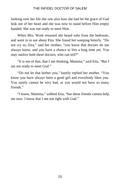looking over her life she saw also how she had let the grace of God leak out of her heart and she was now to stand before Him empty handed. She was not ready to meet Him.

When Mrs. Work returned she heard sobs from the bedroom, and went in to see about Etta. She found her weeping bitterly. "Do not cry so, Etta," said her mother, "you know that doctors do not always know, and you have a chance to live a long time yet. You may outlive both these doctors, who can tell?"

"It is not of that, that I am thinking, Mamma," said Etta. "But I am not ready to meet God."

"Do not let that bother you," hastily replied her mother. "You know you have always been a good girl and everybody likes you. You surely cannot be very bad, or you would not have so many friends<sup>"</sup>

"I know, Mamma," sobbed Etta, "but these friends cannot help me now. I know that I am not right with God."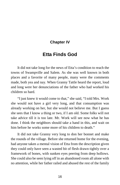### **Chapter IV**

### **Etta Finds God**

It did not take long for the news of Etta's condition to reach the towns of Swampville and Salem. As she was well known in both places and a favorite of many people, many were the comments made, both yea and nay. When Granny Tattle heard the report, loud and long were her denunciations of the father who had worked his children so hard.

"I just knew it would come to that," she said, "I told Mrs. Work she would not have a girl very long, and that consumption was already working on her, but she would not believe me. But I guess she sees that I know a thing or two, if I am old. Some folks will not take advice till it is too late. Mr. Work will see now what he has done. I think the neighbors should take a hand in this, and wait on him before he works some more of his children to death."

It did not take Granny very long to don her bonnet and make the rounds of the village. Before she returned home for the evening, had anyone taken a mental vision of Etta from the description given they could only have seen a wasted bit of flesh drawn tightly over a framework of bones, with sunken eyes peering from deep hollows. She could also be seen lying off in an abandoned room all alone with no attention, while her father railed and abused the rest of the family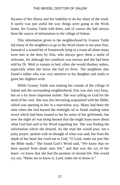because of her illness and her inability to do her share of the work. It surely was just awful the way things were going in the Work home, for Granny Tattle told them, and of course she had always been the source of information to the village of Salem.

This information given to the neighborhood by Granny Tattle led many of the neighbors to go to the Work home to see poor Etta. Instead of a wasted bit of framework lying in a room all alone many were met at the door by Etta, who always gave them a smile of welcome, for although her condition was serious and she had been told by Dr. Molt to remain in bed, often she would disobey orders, especially when she knew she had no fever. The neighbors also found a father who was very attentive to his daughter and ready to grant her slightest wish.

While Granny Tattle was making her rounds of the village of Salem and the surrounding neighborhood, Etta was also very busy, but on a far more important matter. She was calling on God for the need of her soul. She was also becoming acquainted with her Bible, which was opening to her in a marvelous way. Many had been the time when she had burned the midnight oil to finish reading some novel which had been loaned to her by some of her girlfriends, but now the night oil was being burned that she might learn more about what God had said in his Word regarding her. She was finding the information which she desired. As she read she would pray, not a petty prayer, spoken with no thought of what was said, but from the depth of her heart she cried out to God, "O Lord, make me just like the Bible reads." She found God's Word said, "We know that we have passed from death unto life," and that was the cry of her heart—to know that she had the promise of eternal life. She would cry out, "Make me to know it, Lord; make me to know it."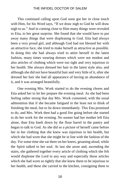This continued calling upon God soon got her in close touch with Him, for his Word says, "If we draw nigh to God he will draw nigh to us." And in coming close to Him many things were revealed to Etta, to her great surprise. She found that she would have to put away many things that were displeasing to God. Etta had always been a very proud girl, and although God had not blessed her with an attractive face, she tried to make herself as attractive as possible. In doing this she had always tried to attire herself in the latest fashion, many times wearing dresses which were not modest and also articles of clothing which were too tight and very injurious to her health. She always dressed her hair in the latest style also, and although she did not have beautiful hair and very little of it, after she dressed her hair she had all appearance of having an abundance of it, and it was arranged beautifully.

One evening Mrs. Work started to do the evening chores and Etta asked her to let her prepare the evening meal. As she had been feeling rather strong that day Mrs. Work consented, with the usual admonition that if she became fatigued in the least not to think of finishing the meal, but to lie down immediately. This Etta promised to do, and Mrs. Work then had a good fire going before she started to do her work for the evening. No sooner had her mother left Etta alone, than Etta knelt down by the flour barrel in the pantry and began to talk to God. As she did so a picture of herself came before her in her clothing that she knew was injurious to her health, but which she had worn that she might be in line with the fashion of the day. For some time she sat there on her knees, groaning aloud, while the Spirit talked to her soul. At last she arose and, ascending the stairs, she gathered together every article of clothing which she felt would displease the Lord in any way and especially those articles which she had worn so tightly that she knew them to be injurious to her health, and these she carried to the kitchen, consigning them to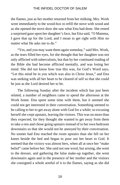the flames, just as her mother returned from her milking. Mrs. Work went immediately to the wood-box to refill the stove with wood and as she opened the stove door she saw what Etta had done. She rested a surprised gaze upon her daughter's face, but Etta said, "O Mamma, I gave that up for the Lord, and I mean to get right with Him no matter what He asks me to do."

"Yes, and you may want them again someday," said Mrs. Work, as the tears filled her eyes, for she thought that her daughter was not only afflicted with tuberculosis, but that by her continued reading of the Bible she had become afflicted mentally, and was losing her mind. She did not know how true this was, for God's Word says, "Let this mind be in you which was also in Christ Jesus," and Etta was seeking with all her heart to be cleared of self so that she could be just as the Lord desired her to be.

The following Sunday after the incident which has just been related, a number of neighbors came to spend the afternoon at the Work home. Etta spent some time with them, but it seemed she could not get interested in their conversation. Something seemed to be calling to her to get away alone with God for a while; so excusing herself she crept upstairs, leaving the visitors. This was no more than they expected, for they thought she wanted to get away from them to take a rest and chose going upstairs instead of to her own bedroom downstairs so that she would not be annoyed by their conversation. No sooner had Etta reached the room upstairs than she fell on her knees beside the bed and began to pour out her heart to God. It seemed that the victory was almost hers, when all at once her "make belief" came before her. She said not one word, but arising, she went to the dresser, and gathering the false make-up together, she went downstairs again and in the presence of her mother and the visitors she consigned a whole armful of it to the flames, saying as she did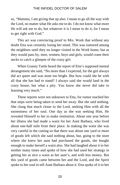so, "Mamma, I am giving that up also. I mean to go all the way with the Lord, no matter what He asks me to do. I do not know what more He will ask me to do, but whatever it is I mean to do it, for I mean to get right with God."

This act was convincing proof to Mrs. Work that without any doubt Etta was certainly losing her mind. This was rumored among the neighbors until they no longer visited in the Work home, but as they would pass by, men, women, boys and girls, would crane their necks to catch a glimpse of the crazy girl.

When Granny Tattle heard the report of Etta's supposed mental derangement she said, "No more than I expected, for the girl always did act queer and was none too bright. But how could she be with all that she has had to stand? I always said she would land in the crazy house, but what a pity. You know she never did take to learning very much."

These reports were not unknown to Etta, for rumor reached her that steps were being taken to send her away. But she said nothing. She clung that much closer to the Lord, seeking Him with all the earnestness of her soul. One day as she was seeking Him, He revealed Himself to her to make restitution. About one year before her illness she had made a waist for her Aunt Barbara, who lived about one-half mile from their place. In making the waist she was very careful in the cutting so that there was about one yard or more of goods left which she said nothing about, but, going to the store where she knew her aunt had purchased the goods, she bought enough to make herself a waist also. She had laughed about it to her mother many times and spoke of how she had used her strategy in getting her as nice a waist as her aunt's, and with less money. But this yard of goods came between her and the Lord, and the Spirit spoke to her soul to tell Aunt Barbara about it. Etta spoke of it to her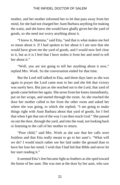mother, and her mother informed her to let that pass away from her mind, for she had not charged her Aunt Barbara anything for making the waist, and she knew she would have gladly given her the yard of goods, so she need not worry anything about it.

"I know it, Mamma," said Etta, "and that is what makes me feel so mean about it. If I had spoken to her about it I am sure that she would have given me the yard of goods, and I would now feel clear in it, but as it is I feel that I have stolen it from her and need to tell her about it."

"Well, you are not going to tell her anything about it now," replied Mrs. Work. So the conversation ended for that time.

But the Lord still talked to Etta, and three days later as she was again in prayer the Lord came near to her and she felt that victory was surely hers. But just as she reached out to the Lord, that yard of goods came before her again. She arose from her knees immediately, put on her wraps, and started through the room. As she reached the door her mother called to her from the other room and asked her where she was going, to which she replied, "I am going to make things right with Aunt Barbara about that yard of goods, for I feel that when I get that out of the way I can then reach God." She passed on out the door, through the yard, and into the road, not looking back or listening to the call of her mother to return.

"Poor child," said Mrs. Work as she saw that her calls were fruitless and that Etta really meant to go to her aunt's. "What will we do? I would much rather see her laid under the ground than to have her lose her mind. I wish that I had hid that Bible and never let her start reading it."

It seemed Etta's feet became light as feathers as she sped toward the home of her aunt. She was met at the door by her aunt, who saw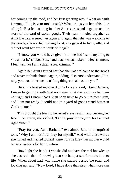her coming up the road, and her first greeting was, "What on earth is wrong, Etta, is your mother sick? What brings you here this time of day?" Etta fell sobbing into her Aunt's arms and began to tell the story of the yard of stolen goods. Their tears mingled together as Aunt Barbara assured her again and again that she was welcome to the goods; she wanted nothing for it; she gave it to her gladly, and did not want her ever to think of it again.

"I know you would have given it to me had I said anything to you about it," sobbed Etta, "and that is what makes me feel so mean. I feel just like I am a thief, a real criminal."

Again her Aunt assured her that she was welcome to the goods and never to think about it again, adding, "I cannot understand, Etta, why you would let such a trifling thing as that trouble you."

Here Etta looked into her Aunt's face and said, "Aunt Barbara, I mean to get right with God no matter what the cost may be. I am not right and I know that I shall soon have to go out to meet Him, and I am not ready. I could not let a yard of goods stand between God and me."

This brought the tears to her Aunt's eyes again, and burying her face in her apron, she sobbed, "O Etta, pray for me, too, for I am not right either."

"Pray for you, Aunt Barbara," exclaimed Etta, in a surprised tone, "Why I am not fit to pray for myself." And with these words she turned and hurried toward home, for she knew her mother would be very anxious for her to return.

How light she felt, but yet she did not have the real knowledge she desired—that of knowing that she had passed from death unto life. When about half way home she paused beside the road, and looking up, said, "Now Lord, I have done that also; what more can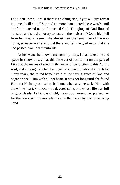I do? You know. Lord, if there is anything else, if you will just reveal it to me, I will do it." She had no more than uttered these words until her faith reached out and touched God. The glory of God flooded her soul, and she did not try to restrain the praises of God which fell from her lips. It seemed she almost flew the remainder of the way home, so eager was she to get there and tell the glad news that she had passed from death unto life.

As her Aunt shall now pass from my story, I shall take time and space just now to say that this little act of restitution on the part of Etta was the means of sending the arrow of conviction to this Aunt's soul, and although she had belonged to a denominational church for many years, she found herself void of the saving grace of God and began to seek Him with all her heart. It was not long until she found Him, for He has promised to be found when anyone seeks Him with the whole heart. She became a devoted saint, one whose life was full of good deeds. As Dorcas of old, many poor around her praised her for the coats and dresses which came their way by her ministering hand.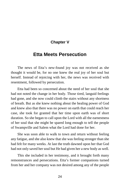### **Chapter V**

### **Etta Meets Persecution**

The news of Etta's new-found joy was not received as she thought it would be, for no one knew the real joy of her soul but herself. Instead of rejoicing with her, the news was received with resentment, followed by persecution.

Etta had been so concerned about the need of her soul that she had not noted the change in her body. Those tired, languid feelings had gone, and she now could climb the stairs without any shortness of breath. But as she knew nothing about the healing power of God and knew also that there was no power on earth that could reach her case, she took for granted that her time upon earth was of short duration. So she began to call upon the Lord with all the earnestness of her soul that she might be spared long enough to tell the people of Swampville and Salem what the Lord had done for her.

She was soon able to walk to town and return without feeling any fatigue, and she also knew that she was feeling stronger than she had felt for many weeks. At last the truth dawned upon her that God had not only saved her soul but He had given her a new body as well.

This she included in her testimony, and it brought forth many remonstrances and persecutions. Etta's former companions turned from her and her company was not desired among any of the people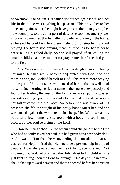of Swampville or Salem. Her father also turned against her, and her life in the home was anything but pleasant. This drove her to her knees many times that she might have grace, rather than give up her new-found joy, to die at her post of duty. She soon became a power in prayer, so much so that her father forbade her praying in the home, as he said he could not live there if she did not stop her constant praying. For her to stop praying meant as much as for her father to cease taking his food daily. So she still prayed often, calling the smaller children and her mother for prayer after her father had gone to the field.

Mrs. Work was soon convinced that her daughter was not losing her mind, but had really become acquainted with God, and one morning she, too, yielded herself to God. This meant more praying on the part of Etta, for she saw the need of her mother as well as of herself. One morning her father came to the house unexpectedly and found her leading the rest of the family in worship. Etta was so earnestly calling upon her heavenly Father that she did not notice her father come into the room. So before she was aware of his presence she felt the weight of his heavy boot against her, and she was landed against the woodbox all in a heap. Mrs. Work screamed, but after a few moments Etta arose with a body bruised in many places, but her soul rejoicing in the Lord.

How her heart ached! But to whom could she go, but to the One who had not only saved her soul, but had given her a new body also? And it was to Him that she went, finding the consolation that she desired, for He promised that He would be a present help in time of trouble. How she poured out her heart for grace to stand! Not knowing that God had promised the Holy Ghost to His children, she just kept calling upon the Lord for strength. One day while in prayer she looked up toward heaven and there appeared before her a vision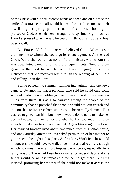of the Christ with his nail-pierced hands and feet, and on his face the smile of assurance that all would be well for her. It seemed she felt a well of grace spring up in her soul, and she arose shouting the praises of God. She felt new strength and spiritual vigor such as David expressed when he said he could run through a troop and leap over a wall.

But Etta could find no one who believed God's Word as she did—no one to whom she could go for encouragement. As she read God's Word she found that none of the ministers with whom she was acquainted came up to the Bible requirements. None of them gave her the food for which her soul was longing. So all the instruction that she received was through the reading of her Bible and calling upon the Lord.

Spring passed into summer, summer into autumn, and the news came to Swampville that a preacher who said he could cure folks without medicine was holding a meeting in a schoolhouse some few miles from there. It was also narrated among the people of the community that he preached that people should not join church and that one had to live free from sin or would be eternally damned. Etta desired to go to hear him, but knew it would do no good to make her desire known, for her father thought she had too much religion already to take her to a place like that. Again Etta sought the Lord. Her married brother lived about two miles from this schoolhouse, and one Saturday afternoon Etta asked permission of her mother to go to spend the night at his place. At first Mrs. Work felt she should not go, as she would have to walk three miles and also cross a slough which at times it was almost impossible to cross, especially in a rainy season. There had been heavy rains for several days and she felt it would be almost impossible for her to get there. But Etta insisted, promising her mother if she could not make it across the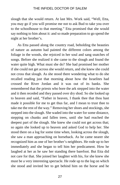slough that she would return. At last Mrs. Work said, "Well, Etta, you may go if you will promise me not to ask Bud to take you over to the schoolhouse to that meeting." Etta promised that she would say nothing to him about it: and so made preparation to go spend the night at her brother's.

As Etta passed along the country road, beholding the beauties of nature as autumn had painted the different colors among the foliage in the woods, she rejoiced in her soul and sang snatches of songs. Before she realized it she came to the slough and found the water quite high. What must she do? She had promised her mother if she could not get across she would return, and she knew she could not cross that slough. As she stood there wondering what to do she recalled reading just that morning about how the Israelites had crossed the River Jordan and it was out of its banks. She remembered that the priests who bore the ark stepped into the water and it then receded and they passed over dry shod. So she looked up to heaven and said, "Father in heaven, I thank thee that thou hast made it possible for me to get thus far, and I mean to trust thee to take me the rest of the way." Removing her shoes and stockings, she stepped into the slough. She waded into the water for some distance, stepping on chunks and fallen trees, until she had reached the deepest part of the slough. She knew she could not get across that; so again she looked up to heaven and asked God to help her. She stood there on a log for some time when, looking across the slough, she saw a man approaching on horseback. As he came nearer she recognized him as one of her brother's neighbors. He rode up to her immediately and she began to tell him her predicament. How he laughed at her as he saw her standing there barefoot. But Etta did not care for that. She joined her laughter with his, for she knew she must be a very interesting spectacle. He rode up to the log on which she stood and invited her to get behind him on the horse and he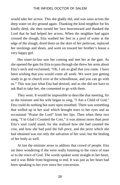would take her across. This she gladly did, and was soon across the deep water on dry ground again. Thanking the kind neighbor for his kindly deed, she then turned her face heavenward and thanked the Lord that he had helped her across. When the neighbor had again crossed the slough, Etta washed her feet in a pool of water at the edge of the slough, dried them on the skirt of her petticoat, replaced her stockings and shoes, and went on toward her brother's house a very happy girl.

Her sister-in-law saw her coming and met her at the gate. As she opened the gate for Etta to pass through she threw her arms about Etta's neck and exclaimed, "Oh, I am so glad that you came. I have been wishing that you would come all week. We were just getting ready to go to church over at the schoolhouse, and you can go with us." This was just what Etta had desired, and as she did not have to ask Bud to take her, she consented to go with them.

They went. It would be impossible to describe that meeting, for as the minister and his wife began to sing, "I Am a Child of God," Etta could do nothing but stare open mouthed. There was something that welled up in her soul which brought tears to her eyes and an occasional "Praise the Lord" from her lips. Then when these two sang, "I'm Glad I Counted the Cost," it was almost more than poor Etta's soul could stand, for she realized how she had counted the cost, and how she had paid the full price, and the prize which she had obtained was not only the salvation of her soul, but the healing of her body as well.

At last the minister arose to address that crowd of people. Etta sat there wondering if she were really listening to the voice of man or to the voice of God. The words spoken went straight to her heart, and it was Bible from beginning to end. It was just as her heart had been speaking to her ever since her conversion.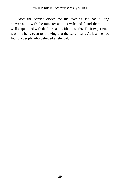After the service closed for the evening she had a long conversation with the minister and his wife and found them to be well acquainted with the Lord and with his works. Their experience was like hers, even to knowing that the Lord heals. At last she had found a people who believed as she did.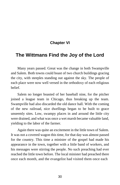### **Chapter VI**

### **The Wittmans Find the Joy of the Lord**

Many years passed. Great was the change in both Swampville and Salem. Both towns could boast of two church buildings gracing the city, with steeples standing out against the sky. The people of each place were now well versed in the orthodoxy of each religious belief.

Salem no longer boasted of her baseball nine, for the pitcher joined a league team in Chicago, thus breaking up the team. Swampville had also discarded the old dance hall. With the coming of the new railroad, nice dwellings began to be built to grace unseemly sites. Low, swampy places in and around the little city were drained, and what was once a wet marsh became valuable land, yielding to the labor of the farmer.

Again there was quite an excitement in the little town of Salem. It was not a covered wagon this time, for that day was almost passed for the country. This time a minister of the gospel had made his appearance in the town, together with a little band of workers, and his messages were stirring the people. No such preaching had ever reached the little town before. The local minister had preached there once each month, and the evangelist had visited them once each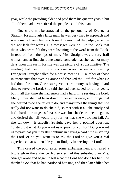year, while the presiding elder had paid them his quarterly visit, but all of them had never stirred the people as did this man.

One could not be attracted to the personality of Evangelist Straight, for although a large man, he was very hard to approach and was a man of very few words until he mounted the pulpit, when he did not lack for words. His messages were so like the Book that those who heard felt they were listening to the word from the Book, instead of from the lips of man. Mrs. Straight was a very frail woman, and at first sight one would conclude that she had not many days upon this earth, for she was the picture of a consumptive. The meeting had been in progress one week, when one evening Evangelist Straight called for a praise meeting. A number of those in attendance that evening arose and thanked the Lord for what He had done for them. One sister gave her testimony as having a hard time to serve the Lord. She said she had been saved for thirty years, but in all that time she had surely had a hard time serving the Lord. Many times she had been down in her experience, and things that she desired to do she failed to do, and many times the things that she really did not want to do she did, so that with it all she surely had had a hard time to get as far as she was; but she determined to go on, and desired that all would pray for her that she would not fail. As she sat down, Evangelist Straight gave her a pointed question, "Sister, just what do you want us to pray for you for? Do you want us to pray that you may still continue in having a hard time in serving the Lord, or do you want us to ask the Lord to give you a real experience that will enable you to find joy in serving the Lord?"

This caused the poor sister some embarrassment and raised a big laugh in the audience. No sooner had this subsided than Mrs. Straight arose and began to tell what the Lord had done for her. She thanked God that he had pardoned her sins, and then later filled her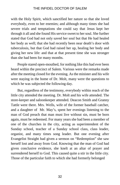with the Holy Spirit, which sanctified her nature so that she loved everybody, even to her enemies; and although many times she had severe trials and temptations she could say that Jesus kept her through it all and she found His service sweet to her soul. She further stated that God had not only saved her soul but that He had healed her body as well; that she had recently been near death's door with tuberculosis, but that God had raised her up, healing her body and giving her new life: and that at that present time she was stronger than she had been for many months.

People stared open-mouthed, for nothing like this had ever been heard within the precinct of Salem. Various were the remarks made after the meeting closed for the evening. As the minister and his wife were staying in the home of Dr. Molt, many were the questions to which he was subjected the following day.

But, regardless of the testimony, everybody within reach of the little city attended the meeting. Dr. Molt and his wife attended. The store-keeper and saloonkeeper attended. Deacon Smith and Granny Tattle were there. Mrs. Wells, wife of the former baseball catcher, and a daughter of Mr. May's, spent her evenings listening to the man of God preach that man must live without sin, must be born again, must be redeemed. For many years she had been a member of one of the churches in the city, acting as superintendent of the Sunday school, teacher of a Sunday school class, class leader, organist, and many times song leader. But one evening after Evangelist Straight had given a sermon on "Redemption" she saw herself lost and away from God. Knowing that the man of God had given conclusive evidence, she knelt at an altar of prayer and surrendered herself to God. This caused quite a stir in the little city. Those of the particular faith to which she had formerly belonged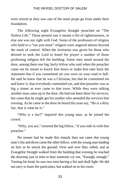were stirred as they saw one of the main props go from under their foundation.

The following night Evangelist Straight preached on "The Sinless Life." Those present saw it meant a life of righteousness, or else one was not right with God. Some of the professors of religion who held to a "sin-you-must" religion were angered almost beyond the mark of control. When the invitation was given for those who desired to seek the Lord to kneel for prayer a number of those professing religion left the building. Some men stood around the door, among them one big, burly fellow who said when the preacher came out he meant to knock him down or make him take back the statement that if you committed sin you were on your road to hell. He said he knew that he was a Christian, but that he committed sin and knew it, that everybody committed sin, and that preacher was as big a sinner as ever came to that town. While they were talking another man came up to the door. He had not been there for services, but came that he might get his mother who attended the services that evening. As he came to the door he heard this man say, "He is a dirty liar, that is what he is."

"Who is a liar?" inquired this young man, as he joined the crowd.

"Why, you are," retorted the big fellow, "if you side in with that preacher."

No sooner had he made this remark than out came this young man's fist and down came the other fellow, with the young man landing on him as he struck the ground. Over and over they rolled, and as Evangelist Straight walked from the building that evening he reached the doorstep just in time to hear someone cry out, "Enough, enough." Turning his head, he saw two men having a fist and skull fight. He did not tarry to learn the particulars, but walked on to his room.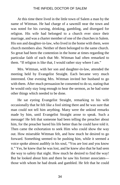At this time there lived in the little town of Salem a man by the name of Wittman. He had charge of a sawmill near the town and was noted for his cursing, drinking, gambling, and disregard for religion. His wife had belonged to a church ever since their marriage, and was a charter member of one of the churches in Salem. His son and daughter-in-law, who lived in the home with them, were church members also. Neither of them belonged to the same church. So great had been the contention in the home at times regarding the particular faith of each that Mr. Wittman had often remarked to them. "If religion is like that, I would rather stay where I am."

Mrs. Wittman, with her son and daughter-in-law, attended the meeting held by Evangelist Straight. Each became very much interested. One evening Mrs. Wittman invited her husband to go with them. After much persuasion he consented to do so, stating that he would only stay long enough to hear the sermon, as he had some other things which needed to be done.

He sat eyeing Evangelist Straight, remarking to his wife occasionally that he felt like a fool sitting there and he was sure that man could not tell him anything. Many were the unkind remarks made by him, until Evangelist Straight arose to speak. Such a message! He felt that someone had been telling the preacher about him, for the preacher bared his life better than he could have told it. Then came the exhortation to seek Him who could show the way out. How miserable Wittman felt, and how much he desired to go forward. Something seemed to be pushing him, while it seemed a voice spoke almost audibly in his soul, "You are lost and you know it." Yes, he knew that he was lost, and he knew also that he had seen the way to safety that night. How much he desired to find the way! But he looked about him and there he saw his former associates those with whom he had drunk and gambled. He felt that he could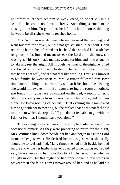not afford to let them see him so weak-kneed, so he sat still in his seat. But he could not breathe freely. Something seemed to be closing in on him. To get relief, he left the church-house, thinking he would be all right when he reached home.

Mrs. Wittman was also made to see her need that evening, and went forward for prayer, but did not get satisfied in her soul. Upon returning home she informed her husband that she had laid aside her religious profession and meant to seek the Lord until she knew she was right. This only made matters worse for him, and he was unable to take any rest that night. All through the hours of the night he rolled and tossed on his bed, unable to sleep. The next day he told his wife that he was not well, and did not feel like working. Excusing himself to his family, he went upstairs. Mrs. Wittman followed him some time later climbing the stairs softly so that if he should be sleeping she would not awaken him. But upon entering the room unnoticed, she found him lying face downward on the bed, weeping bitterly. She stole silently away from the room as she had come, and left him alone. He knew nothing of her visit. That evening she again asked him to go with her to meeting, but he replied that he did not feel able to do so; to which she replied, "If you do not feel able to go with me I do not feel that I should leave you alone."

The evening was spent in almost complete silence, except an occasional remark. As they were preparing to retire for the night, Mrs. Wittman knelt down beside her bed and began to ask the Lord to make her just what He desired her to be, just what she really should be to feel satisfied. Many times she had knelt beside her bed before and while her husband never objected to her doing so, he paid very little attention to her more than to ridicule her at times when in an ugly mood. But this night she had only spoken a few words in prayer when she felt his arms thrown around her, and as he laid his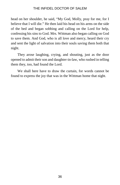head on her shoulder, he said, "My God, Molly, pray for me, for I believe that I will die." He then laid his head on his arms on the side of the bed and began sobbing and calling on the Lord for help, confessing his sins to God. Mrs. Wittman also began calling on God to save them. And God, who is all love and mercy, heard their cry and sent the light of salvation into their souls saving them both that night.

They arose laughing, crying, and shouting, just as the door opened to admit their son and daughter-in-law, who rushed in telling them they, too, had found the Lord.

We shall here have to draw the curtain, for words cannot be found to express the joy that was in the Wittman home that night.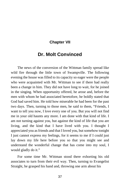# **Chapter VII**

# **Dr. Molt Convinced**

The news of the conversion of the Wittman family spread like wild fire through the little town of Swampville. The following evening the house was filled to its capacity so eager were the people who were acquainted with Mr. Wittman to see if there had really been a change in him. They did not have long to wait, for he joined in the singing. When opportunity offered, he arose and, before the men with whom he had associated heretofore, he boldly stated that God had saved him. He told how miserable he had been for the past two days. Then, turning to those men, he said to them, "Friends, I want to tell you now, I love every one of you. But you will not find me in your old haunts any more. I am done with that kind of life. I am not turning against you, but against the kind of life that you are living, and the kind that I have lived with you. I thought I appreciated you as friends and that I loved you, but somehow tonight I just cannot express my feelings, for it seems to me if I could just lay down my life here before you so that you might see and understand the wonderful change that has come into my soul, I would gladly do it."

For some time Mr. Wittman stood there exhorting his old associates to turn from their evil way. Then, turning to Evangelist Straight, he grasped his hand and, throwing one arm about his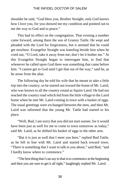shoulder he said, "God bless you, Brother Straight, only God knows how I love you, for you showed me my condition and pointed out to me the way to God and to peace."

This had its effect on the congregation. That evening a number came forward, among them the son of Granny Tattle. He wept and pleaded with the Lord for forgiveness, but it seemed that he could get nowhere. Evangelist Straight was kneeling beside him when he cried out, "O Lord, take it away from me; don't let it bother me." At this Evangelist Straight began to interrogate him, to find that whenever he called upon God there was something that came before him. "I cannot get to God until I get that out of the way," said he, as he arose from the altar.

The following day he told his wife that he meant to take a little trip into the country; so he started out toward the home of Mr. Laird, who was known to all the country round as Squire Laird. He had not reached the country road which led from the little village to the Laird home when he met Mr. Laird coming to town with a basket of eggs. The usual greetings were exchanged between the men, and then Mr. Laird was informed that the young Mr. Tattle had started to his place.

"Well, Bud, I am sorry that you did not start sooner, for it would have been just as well for me to come to town tomorrow as today," said Mr. Laird, as he shifted his basket of eggs to the other arm.

"But it is just as well that I meet you here," replied Bud Tattle, as he fell in line with Mr. Laird and started back toward town. "There is something that I want to talk to you about," said Bud, "and I hardly know where to commence."

"The best thing that I can say to that is to commence at the beginning and then you are sure to get it all right," laughingly replied Mr. Laird.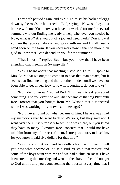They both paused again, and as Mr. Laird set his basket of eggs down by the roadside he turned to Bud, saying, "Now, old boy, just be free with me. You know you have not worked for me for several summers without finding me ready to help whenever you needed it. Now, what is it? Are you out of a job and need work? You know if you are that you can always find work with me and I shall need a hand soon on the farm. If you need work now I shall be more than glad to know that I can depend on you for the summer."

"That is not it," replied Bud, "but you know that I have been attending that meeting in Swampville."

"Yes, I heard about that meeting," said Mr. Laird. "I spoke to Mrs. Laird that we ought to come in to hear that man preach, but it seems that first one thing and then another hinders until we have not been able to get in yet. How long will it continue, do you know?"

"No, I do not know," replied Bud. "But I want to ask you about something. Did you ever find out what became of that big Plymouth Rock rooster that you bought from Mr. Watson that disappeared while I was working for you two summers ago?"

"No, I never found out what became of him. I have always had my suspicions that he went back to Watsons, but they said not. I went over there just purposely to see if he was there, but you know they have so many Plymouth Rock roosters that I could not have told him from any of the rest of them. I surely was sorry to lose him, for you know I paid five dollars for that bird."

"Yes, I know that you paid five dollars for it, and I want to tell you now what became of it," said Bud. "I stole that rooster, and some of the boys went with me and we had a chicken roast. I have been attending that meeting and went to the altar, but I could not get to God until I told you about stealing that rooster. Every time that I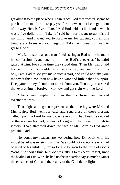get almost to the place where I can reach God that rooster seems to perch before me. I want to pay you for it now so that I can get it out of the way. Here is five dollars." And Bud held out his hand in which was a five-dollar bill. "Take it," said he, "for I want to get this off my mind. And I want you to forgive me for causing you all this trouble, and to suspect your neighbor. Take the money, for I want to get to God."

Mr. Laird stood as one transfixed staring at Bud while he made his confession. Tears began to roll over Bud's cheeks as Mr. Laird gazed at him. For some time they stood thus. Then Mr. Laird laid his hand on Bud's shoulder in a friendly way, and said, "Bud, my boy, I am glad to see you make such a start, and could not take your money at this time. You now have a wife and little babe to support. Keep your money. I could not take it from you. You may be assured that everything is forgiven. Go now and get right with the Lord."

"Thank you," replied Bud, as the two turned and walked together to town.

That night among those present at the meeting were Mr. and Mrs. Laird. Bud went forward, and regardless of those present, called upon the Lord for mercy. As everything had been cleared out of the way on his part, it was not long until he prayed through to victory. Tears streamed down the face of Mr. Laird as Bud arose praising God.

No doubt my readers are wondering how Dr. Molt with his infidel belief was receiving all this. We could not expect one who had boasted of his infidelity for so long to be won to the truth of God's Word in so short a time, but God was talking to his heart. In fact, since the healing of Etta Work he had not been heard to say so much against the existence of God and the reality of the Christian religion.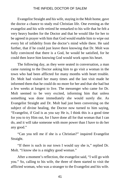Evangelist Straight and his wife, staying in the Molt home, gave the doctor a chance to study real Christian life. One evening as the evangelist and his wife retired he remarked to his wife that he felt a very heavy burden for the Doctor and that he would like for her to be agreed in prayer with him that God would enable him to wipe out every bit of infidelity from the doctor's mind while there. He said further, that if he could just leave there knowing that Dr. Molt was fully convinced that there is a God, he would be satisfied, for he could then leave him knowing God would work upon his heart.

The following day, as they were seated in conversation, a man came running to the Doctor asking him to go visit a woman in the town who had been afflicted for many months with heart trouble. Dr. Molt had visited her many times and the last visit made he informed them that he could do no more for her and that she had but a few weeks at longest to live. The messenger who came for Dr. Molt seemed to be very excited, informing him that unless something was done immediately she would surely die. As Evangelist Straight and Dr. Molt had just been conversing on the subject of divine healing, the Doctor now turned to him saying, "Evangelist, if God is as you say He is, I think this is a good time for you to try Him out, for I have done all for that woman that I can do, and it will take someone with more power than I have to do her any good."

"Can you tell me if she is a Christian?" inquired Evangelist Straight.

"If there is such in our town I would say she is," replied Dr. Molt. "I know she is a mighty good woman."

After a moment's reflection, the evangelist said, "I will go with you." So, calling to his wife, the three of them started to visit the afflicted woman, who was a stranger to the Evangelist and his wife.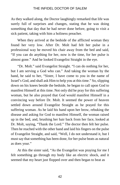As they walked along, the Doctor laughingly remarked that life was surely full of surprises and changes, stating that he was doing something that day that he had never done before, going to visit a sick patient, taking with him a holiness preacher.

When they arrived at the bedside of the afflicted woman they found her very low. After Dr. Molt had felt her pulse in a professional way he moved his chair away from the bed and said, "If you can do anything for her, now is the time, for her pulse is almost gone." And he looked Evangelist Straight in the eye.

"Dr. Molt." said Evangelist Straight. "I can do nothing for her, but I am serving a God who can." And taking the woman by the hand, he said to her, "Sister, I have come to you in the name of Israel's God, and shall ask Him to help you at this time." So, slipping down on his knees beside the bedside, he began to call upon God to manifest Himself at this time. Not only did he pray for this suffering woman, but he also prayed that God would manifest Himself in a convincing way before Dr. Molt. It seemed the power of heaven settled down around Evangelist Straight as he prayed for this suffering woman. As he laid his hand upon her brow, rebuking the disease and asking for God to manifest Himself, the woman raised up in the bed, and, brushing her hair back from her face, looked at Dr. Molt, saying, "Thank the Lord." The doctor then felt her pulse. Then he reached with the other hand and laid his fingers on the pulse of Evangelist Straight, and said, "Well, I do not understand it, but I must say that something has been done, for her pulse beats as natural as does your."

At this the sister said, "As the Evangelist was praying for me I felt something go through my body like an electric shock, and it seemed that my heart just flopped over and then began to beat as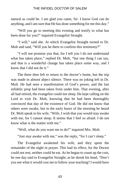natural as could be. I am glad you came, Sir. I know God can do anything, and I am sure that He has done something for me this day."

"Will you go to meeting this evening and testify to what has been done for you?" inquired Evangelist Straight.

"I will," said she. At which Evangelist Straight turned to Dr. Molt and said, "Will you be there to confirm this testimony?"

"I will not promise you that, for I tell you I do not understand what has taken place," replied Dr. Molt, "but one thing I can say, and that is a wonderful change has taken place some way, and I know that I did not do it."

The three then left to return to the doctor's home, but the trip was made in almost abject silence. There was no joking left in Dr. Molt. He had seen a manifestation of God's power, and the last infidelic prop had been taken from under him. That evening, after all had retired, the evangelist could not sleep. He kept calling on the Lord to visit Dr. Molt, knowing that he had been thoroughly convinced that day of the existence of God. He did not know that others were awake, but in the early hours of the morning he heard Dr. Molt speak to his wife, "Wife, I wish that you would stay awake with me, for I cannot sleep. It seems that I feel so afraid. I do not know what is the matter with me."

"Well, what do you want me to do?" inquired Mrs. Molt.

"Just stay awake with me," was the reply, "for I can't sleep."

The Evangelist awakened his wife, and they spent the remainder of the night in prayer. This had its effect, for the Doctor could not rest, neither could he eat. As he began to count up the cost, he one day said to Evangelist Straight, as he shook his head, "Don't you see what it would cost me to follow your teaching? I would have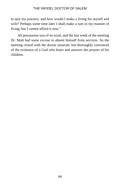to quit my practice, and how would I make a living for myself and wife? Perhaps some time later I shall make a turn in my manner of living, but I cannot afford it now."

All persuasion was of no avail, and the last week of the meeting Dr. Molt had some excuse to absent himself from services. So the meeting closed with the doctor unsaved, but thoroughly convinced of the existence of a God who hears and answers the prayers of his children.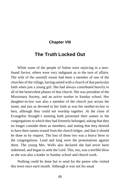# **Chapter VIII**

# **The Truth Locked Out**

While some of the people of Salem were rejoicing in a newfound Savior, others were very indignant as to the turn of affairs. The wife of the sawmill owner had been a member of one of the churches of the village, having united with a church of that particular faith when just a young girl. She had always contributed heavily to all of the benevolent phases of that church. She was president of the Missionary Society, and an active worker in Sunday school. Her daughter-in-law was also a member of the church just across the street, and just as devoted to her faith as was her mother-in-law to hers, although they could not worship together. At the close of Evangelist Straight's meeting both presented their names to the congregations to which they had formerly belonged, asking that they no longer consider them as members, and stating that they desired to have their names erased from the church ledger, and that it should be done so by request. The loss of these two was a heavy blow to the congregations. Loud and long were the protestations against them. The young Mrs. Wells also declared she had never been redeemed, and began to seek the Lord. This, too, was a terrible blow as she was also a leader in Sunday school and church work.

Nothing could be done but to send for the pastor who visited this town once each month. Although it was not his usual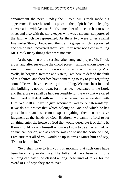appointment the next Sunday the "Rev." Mr. Crook made his appearance. Before he took his place in the pulpit he held a lengthy conversation with Deacon Smith, a member of the church across the street and also with the storekeeper who was a staunch supporter of the faith which he represented. As these two were bitter against Evangelist Straight because of the straight gospel which he preached and which had uncovered their lives, they were not slow in telling Mr. Crook many things that were not true.

At the opening of the service, after song and prayer. Mr. Crook arose, and after surveying the crowd present, among whom were the sawmill owner, his wife, his son and his wife, and the young Mrs. Wells, he began: "Brethren and sisters, I am here to defend the faith of this church, and therefore have something to say to you regarding some folks who have been using this building. We must bear in mind this building is not our own, for it has been dedicated to the Lord; and therefore we shall be held responsible for the way that we cared for it. God will deal with us in the same manner as we deal with Him. We shall all have to give account to God for our stewardship. If we do not protect that which belongs to God and which he has placed in our hands we cannot expect anything other than to receive judgment at the hands of God. Brethren, we cannot afford to let anything enter the house of God that would desecrate it or defile it. If one should present himself whom we know to be a liar, a thief, or an unclean person, and ask for permission to use the house of God, I am sure that all of you would be up in arms against him and say, 'Do not let him in.' "

"So I shall have to tell you this morning that such ones have been here, only in disguise. The folks that have been using this building can easily be classed among these kind of folks, for the Word of God says they are thieves."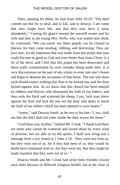Then, opening his Bible, he read from John 10:10: "The thief cometh not but for to steal, and to kill, and to destroy. I am come that they might have life, and that they may have it more abundantly." Casting his glance toward the sawmill owner and his wife and then at the young Mrs. Wells, who was seated near them, he continued, "We can easily see these people can be classed as thieves, for they come stealing, robbing, and destroying. They are liars also, for the statement that was made from this pulpit that man could become as good as God and even better than Jesus Christ, is a lie of the devil, and I feel that this pulpit has been desecrated and these walls contaminated by such remarks being made here. It is very discourteous on the part of any visitor to enter into one's house and begin to demean the occupants of that home. The one who does such should expect nothing else than to be kicked out, and the door locked against him. As we know that this church has been entered by robbers and thieves, who demeaned the faith of our fathers, and then stole the flock and scattered the sheep, I say, lock your doors against the thief and kick the one out the door who dares to insult the faith of our fathers which has been planted in your hearts."

"Amen," said Deacon Smith, as he rose to his feet; "I, too, shall see that the thief shall not enter inside the door across the street."

"God bless you, brother," replied Mr. Crook. "I thank God there are some who cannot be scattered and tossed about by every wind of doctrine, but are able to try the spirits. I shall now bring you a message from a text found in 1 John 2:19: 'They went out from us, but they were not of us; for if they had been of us, they would no doubt have continued with us: but they went out, that they might be made manifest that they were not of us.' "

Deacon Smith and Mr. Crook had never been friendly toward each other because of different religious beliefs, but at the close of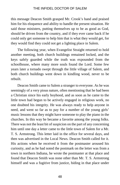this message Deacon Smith grasped Mr. Crook's hand and praised him for his eloquence and ability to handle the present situation. He said those ministers, putting themselves up to be as good as God, should be driven from the country, and if they ever came back if he could only get someone to help him that is what they would get, for they would find they could not get a lighting place in Salem.

The following year, when Evangelist Straight returned to hold another meeting, both church buildings remained locked, and the keys safely guarded while the truth was expounded from the schoolhouse, where many more souls found the Lord. Some few years later a tornado swept through the little village of Salem, and both church buildings went down in kindling wood, never to be rebuilt.

Deacon Smith came to Salem a stranger to everyone. As he was seemingly of a very pious nature, often mentioning that he had been a Christian since his early boyhood, and as soon as he came to the little town had begun to be actively engaged in religious work, no one doubted his integrity. He was always ready to help anyone in need, and went so far as to pay for a number of the young girls' music lessons that they might have someone to play the piano in the churches. In this way he became a favorite among the young folks. There was not the least bit of suspicion on the part of any concerning him until one day a letter came to the little town of Salem for a Mr. T. S. Armstrong. This letter laid in the office for several days, and then was advertised in the Local News. Deacon Smith called for it. His actions when he received it from the postmaster aroused his curiosity, and as he had noted the postmark on the letter was from a town in northern Indiana, he wrote the postmaster at that place and found that Deacon Smith was none other than Mr. T. S. Armstrong himself and was a fugitive from justice, hiding in that place under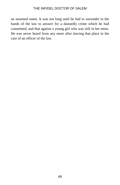an assumed name. It was not long until he had to surrender to the hands of the law to answer for a dastardly crime which he had committed, and that against a young girl who was still in her teens. He was never heard from any more after leaving that place in the care of an officer of the law.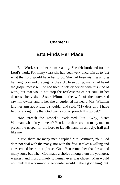# **Chapter IX**

# **Etta Finds Her Place**

Etta Work sat in her room reading. She felt burdened for the Lord's work. For many years she had been very uncertain as to just what the Lord would have her to do. She had been visiting among her neighbors and praying for the sick. In so doing, many had heard the gospel message. She had tried to satisfy herself with this kind of work, but that would not stop the restlessness of her soul. In her distress she visited Sister Wittman, the wife of the converted sawmill owner, and to her she unburdened her heart. Mrs. Wittman laid her arm about Etta's shoulder and said, "My dear girl, I have felt for a long time that God wants you to preach His gospel."

"Me, preach the gospel?" exclaimed Etta. "Why, Sister Wittman, what do you mean? You know there are too many men to preach the gospel for the Lord to lay His hand on an ugly, frail girl like me."

"True, there are many men," replied Mrs. Wittman, "but God does not deal with the many, nor with the few. It takes a willing and consecrated heart that pleases God. You remember that Jesse had many sons, but when God made a choice among them the youngest, weakest, and most unlikely to human eyes was chosen. Man would not think that a common sheepherder would make a good king, but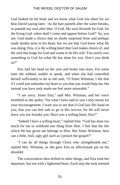God looked on his heart and we know what God saw there for we hear David saying later, 'As the hart panteth after the water brooks, so panteth my soul after thee. O God. My soul thirsteth for God, for the living God: when shall I come and appear before God?' So, you see. God made a choice that no doubt surprised Jesse and perhaps made doubts arise in his heart, but we see that God knew what He was doing. Etta, it is the willing heart that God makes choice of, and the soul that longs for God and wants to do His will. You surely owe something to God for what He has done for you. Don't you think so?"

Etta laid her head on her arm and broke into tears. For some time she sobbed, unable to speak, and when she had controlled herself sufficiently to do so she said, "O Sister Wittman, I felt that if I could just unburden my heart to you that you would help me, but instead you have only made me feel more miserable."

"I am sorry, Sister Etta," said Mrs. Wittman, and her voice trembled as she spoke; "for what I have said to you I only meant for your encouragement. I want you to see that if God lays His hand on you, that you can feel safe to go in His service, for He will never leave you nor forsake you. Have you a willing heart, Etta?"

"Indeed I have a willing heart," replied Etta. "God has done too much for me to withhold one thing from Him. I feel that the life which He has given me belongs to Him. But Sister Wittman, how can a little, frail, ugly girl such as I preach the gospel?"

"I can do all things through Christ who strengtheneth me," replied Mrs. Wittman, as she gave Etta an affectionate pat on the shoulder.

The conversation then drifted to other things, and Etta took her departure, but not with a lightened heart. Each step she took seemed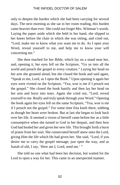only to deepen the burden which she had been carrying for several days. The next morning as she sat in her room reading, this burden came heavier than ever. She could not forget Mrs. Wittman's words. Laying the paper aside which she held in her hand, she slipped to her knees before the chair in which she was sitting, and cried out, "Lord, make me to know what you want me to do. As I open your Word, reveal yourself to me, and help me to know your will concerning me."

She then reached for her Bible, which lay on a stand near her, and, opening it, her eyes fell on the Scripture, "Go ye into all the world and preach the gospel to every creature." Laying her head on her arm she groaned aloud, but she closed the book and said again, "Speak to me, Lord, as I open the Book." Upon opening it again her eyes were riveted on the Scripture, "Yea, woe is me if I preach not the gospel." She closed the book hastily and then lay her head on her arm and burst into tears. Again she cried out, "Lord, reveal yourself to me. Really and truly speak through your Word." Opening the book again her eyes fell on the same Scripture, "Yea, woe is me if I preach not the gospel." For some time Etta knelt there, sobbing as though her heart were broken. But at last she began to look back over her life. It seemed a vision of herself came before her as a little consumptive when she turned to God in her despair, and then how God had healed her and given her new life. This brought forth a burst of praise from her soul. She consecrated herself anew unto the Lord, giving Him the life which He had given her. She said, "Lord, if you desire me to carry the gospel message, just open the way, and as Isaiah of old, I say, 'Here am I, Lord, send me.' "

She told no one what had been her decision, but waited for the Lord to open a way for her. This came in an unexpected manner.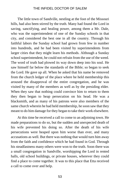The little town of Sandville, nestling at the foot of the Missouri hills, had also been stirred by the truth. Many had found the Lord in saving, sanctifying, and healing power, among them a Mr. Dale, who was the superintendent of one of the Sunday schools in that city, and considered the best one in all the country. Through his faithful labors the Sunday school had grown from few in number into hundreds, and he had been visited by superintendents from larger cities that they might learn his methods. Although a Sunday school superintendent, he could not refrain from the use of the weed. The word of truth had plowed its way down deep into his soul. He saw himself far below the standards of the Bible; so began to seek the Lord. He gave up all. When he asked that his name be removed from the church ledger of the place where he held membership this aroused the disapproval of the entire congregation, and he was visited by many of the members as well as by the presiding elder. When they saw that nothing could convince him to return to them they then began to heap persecution on his head. He was a blacksmith, and as many of his patrons were also members of the same church wherein he had held membership, he soon saw that they meant to do him damage for they began to take their work elsewhere.

At this time he received a call to come to an adjoining town. He made preparations to do so, but the sudden and unexpected death of his wife prevented his doing so. After the death of his wife persecutions were heaped upon him worse than ever, and many accusations as well. But there was nothing that would turn him away from the faith and confidence which he had found in God. Through his steadfastness many others were won to the truth. Soon there was a small congregation in Sandville, worshipping the Lord in rented halls, old school buildings, or private houses, wherever they could find a place to come together. It was to this place that Etta received a call to come over and help.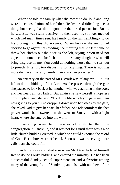When she told the family what she meant to do, loud and long were the expostulations of her father. He first tried ridiculing such a thing, but seeing that did no good, he then tried persuasion. But as he saw Etta was really decisive, he then used his stronger method which had many times sent his family on the run tremblingly to do his bidding. But this did no good. When he saw she really had decided to go against his bidding, the morning that she left home he threw her clothes out the door as she left, saying, "You need not expect to come back, for I shall not house any daughter who will bring disgrace on me. You could do nothing worse than to start out to preach. It is just too disgusting for anything. There is nothing more disgraceful to any family than a woman preacher."

No entreaty on the part of Mrs. Work was of any avail. So Etta left to do the bidding of her Lord. As she passed through the gate she paused to look back at her mother, who was standing in the door, and her heart almost failed. But again she saw herself a hopeless consumptive, and she said, "Lord, the life which you gave me I am now giving to you." And dropping down upon her knees by the gate, she asked God to give her back her father. She felt confident that her prayer would be answered, so she went to Sandville with a light heart, where she entered into the work.

Encouraging were her messages of truth to the little congregation in Sandville, and it was not long until there was a nice little church building erected in which she could expound the Word of God. Her labors were effectual. Soon she was receiving more calls than she could fill.

Sandville was astonished also when Mr. Dale declared himself free to do the Lord's bidding, and entered the ministry. He had been a successful Sunday school superintendent and a favorite among many of the young folk of Sandville, and also with numbers of the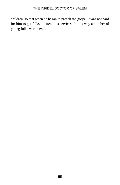children, so that when he began to preach the gospel it was not hard for him to get folks to attend his services. In this way a number of young folks were saved.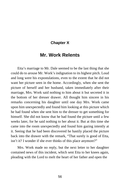# **Chapter X**

# **Mr. Work Relents**

Etta's marriage to Mr. Dale seemed to be the last thing that she could do to arouse Mr. Work's indignation to its highest pitch. Loud and long were his expostulations, even to the extent that he did not want her picture seen in the home. Accordingly, when she sent the picture of herself and her husband, taken immediately after their marriage, Mrs. Work said nothing to him about it but secreted it in the bottom of her dresser drawer. All thought him sincere in his remarks concerning his daughter until one day Mrs. Work came upon him unexpectedly and found him looking at this picture which he had found when she sent him to the dresser to get something for himself. She did not know that he had found the picture until a few weeks later, for he said nothing to her about it. But at this time she came into the room unexpectedly and found him gazing intently at it. Seeing that he had been discovered he hastily placed the picture back into the drawer with the remark, "That surely is good of Etta, isn't it? I wonder if she ever thinks of this place anymore?"

Mrs. Work made no reply, but the next letter to her daughter contained news of this incident, which sent Etta to her knees again, pleading with the Lord to melt the heart of her father and open the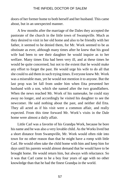doors of her former home to both herself and her husband. This came about, but in an unexpected manner.

A few months after the marriage of the Dales they accepted the pastorate of the church in the little town of Swampville. Much as they desired to visit in her old home and also to be friendly with her father, it seemed to be denied them, for Mr. Work seemed to be as obstinate as ever, although many times after he knew that his good wife had been to see their daughter he would inquire as to her welfare. Many times Etta had been very ill, and at these times he would be quite concerned, but not to the extent that he would make any effort to forget the past. He would urge his wife to do all that she could to aid them in such trying times. Everyone knew Mr. Work was a miserable man, yet he would not mention it to anyone. But the last prop was let fall from under him when Etta presented her husband with a son, which she named after the two grandfathers. When the news reached Mr. Work of his namesake, he could stay away no longer, and accordingly he visited his daughter to see the newcomer. He said nothing about the past, and neither did Etta. They all acted as if his visit were a common affair, and really expected. From this time forward Mr. Work's visits in the Dale home were almost a daily affair.

Little Carl was a favorite of his Grandpa Work, because he bore his name and he was also a very lovable child. As the Works lived but a short distance from Swampville, Mr. Work would often ride into town for no other reason than that he might have a romp with little Carl. He would often take the child home with him and keep him for days until his parents would almost demand that he would have to be brought home. He would return him, but always with reluctance. So it was that Carl came to be a boy four years of age with no other knowledge than that he had the finest Grandpa in the world.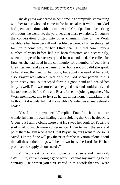One day Etta was seated in her home in Swampville, conversing with her father who had come in for his usual visit with them. Carl had spent some time with his mother and Grandpa, but at last, tiring of indoors, he went into the yard, leaving these two alone. Of course the conversation drifted into other channels. One of the Work neighbors had been very ill and her life despaired of when she called for Etta to come pray for her. Etta's healing in that community a number of years before had not been forgotten and accordingly, when all hope of her recovery had been abandoned, she called for Etta. As she had lived in the community for a number of years Etta knew her well and as she came to her home not only did she speak to her about the need of her body, but about the need of her soul, also. Prayer was offered. Not only did God speak pardon to this poor, needy soul, but reached forth his good hand and healed her body as well. This was more than her good husband could stand, and he, too, melted before God and Etta left them rejoicing together. Mr. Work mentioned this to Etta as he sat in her home, remarking that he thought it wonderful that his neighbor's wife was so marvelously healed.

"Yes, I think it wonderful," replied Etta; "but it is no more wonderful than my own healing. I am rejoicing that God healed Mrs. Green, but I am rejoicing more that He saved her soul, for Papa, the soul is of so much more consequence. I like to visit the sick and point them to Him who is the Great Physician, but I want to see souls saved. I know if one will pay the price for the salvation of one's soul that all these other things will be thrown in by the Lord, for He has promised to supply all our needs."

Mr. Work sat for a few moments in silence and then said, "Well, Etta, you are doing a good work. I cannot say anything to the contrary. I felt when you first started in this work that you were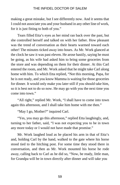making a great mistake, but I see differently now. And it seems that I could not associate you and your husband in any other line of work, for it is just fitting to both of you."

Tears filled Etta's eyes as her mind ran back over the past, but she controlled herself and talked on with her father. How pleasant was the trend of conversation as their hearts warmed toward each other! The minutes ticked away into hours. As Mr. Work glanced at the clock he saw it was past eleven. He arose hastily, saying he must be going, as his wife had asked him to bring some groceries from the store and was depending on them for their dinner. At this Carl entered the room, and Mr. Work asked that he might take Carl along home with him. To which Etta replied, "Not this morning, Papa, for he is not ready, and you know Mamma is waiting for those groceries for dinner. It would only make you later still if you should take him, so it is best not to do so now. He may go with you the next time you come into town."

"All right," replied Mr. Work, "I shall have to come into town again this afternoon, and I shall take him home with me then."

"May I go, Mother?" inquired Carl.

"Yes, you may go this afternoon," replied Etta laughingly, and, turning to her father, said, "I was not expecting you to be in town any more today or I would not have made that promise."

Mr. Work laughed loud as he placed his arm in that of Etta's and, holding Carl by the hand, walked to the gate where his horse stood tied to the hitching post. For some time they stood there in conversation, and then as Mr. Work mounted his horse he rode away, calling back to Carl as he did so, "Now, be ready, little man, for Grandpa will be in town directly after dinner and will take you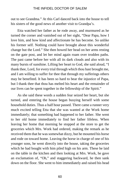out to see Grandma." At this Carl danced back into the house to tell his sisters of the good news of another visit to Grandpa's.

Etta watched her father as he rode away, and murmured as he turned the corner and vanished out of her sight, "Dear Papa, how I love him, and how kind and affectionate he has become. So unlike his former self. Nothing could have brought about this wonderful change but the Lord." She then bowed her head on her arms resting on the gate post, and let her mind again roam over trodden paths. The past came before her with all its dark clouds and also with its many bursts of sunshine. Lifting her heart to God, she said aloud, "I thank thee, Lord, for every trial through which thou hast brought me, and I am willing to suffer for thee that through my sufferings others may be benefited. It has been so hard to bear the injustice of Papa, but I thank thee that thou has melted his heart and the remainder of our lives can be spent together in the fellowship of the Spirit."

As she said these words a sudden fear seized her heart, but she turned, and entering the house began busying herself with some household duties. Thus a half hour passed. There came a runner very much excited telling Etta that she was wanted at the Work home immediately; that something had happened to her father. She went to her old home immediately to find her father lifeless. When leaving her home that morning he stopped at the store to get the groceries which Mrs. Work had ordered, making the remark as he received them that he was somewhat dizzy, but he mounted his horse and rode on toward home. Leaving the horse in charge of one of his younger sons, he went directly into the house, taking the groceries which he had bought with him piled high on his arm. These he laid on the table in the kitchen and then looking at Mrs. Work, he gave an exclamation of, "Oh," and staggering backward, he then sank down on the floor. She went to him immediately and raised his head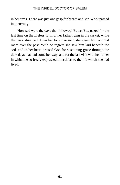in her arms. There was just one gasp for breath and Mr. Work passed into eternity.

How sad were the days that followed! But as Etta gazed for the last time on the lifeless form of her father lying in the casket, while the tears streamed down her face like rain, she again let her mind roam over the past. With no regrets she saw him laid beneath the sod, and in her heart praised God for sustaining grace through the dark days that had come her way, and for the last visit with her father in which he so freely expressed himself as to the life which she had lived.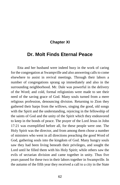# **Chapter XI**

# **Dr. Molt Finds Eternal Peace**

Etta and her husband were indeed busy in the work of caring for the congregation at Swampville and also answering calls to come elsewhere to assist in revival meetings. Through their labors a number of congregations sprang up immediately and also in the surrounding neighborhood. Mr. Dale was powerful in the delivery of the Word; and cold, formal religionists were made to see their need of the saving grace of God. Many souls turned from a mere religious profession, denouncing division. Returning to Zion they gathered their harps from the willows, singing the good, old songs with the Spirit and the understanding, rejoicing in the fellowship of the saints of God and the unity of the Spirit which they endeavored to keep in the bonds of peace. The prayer of the Lord Jesus in John 17:21 was exemplified before all, for these people were one. The Holy Spirit was the director, and from among them chose a number of ministers who went in all directions preaching the good Word of God, gathering souls into the kingdom of God. Many hungry souls saw they had been living beneath their privileges, and sought the Lord until he filled them with his Holy Spirit; while others saw the evils of sectarian division and came together in unity. Thus five years passed for these two in their labors together in Swampville. In the autumn of the fifth year they received a call to a city in the State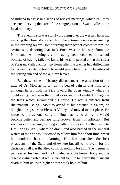of Indiana to assist in a series of revival meetings, which call they accepted, leaving the care of the congregation at Swampville to the local ministry.

The evening sun was slowly dropping over the western horizon, marking the close of another day. The autumn leaves were rustling in the evening breeze, some turning their scarlet colors toward the setting sun, denoting that Jack Frost was on his way from the Northland. A loitering urchin having been detained at school because of having failed to know his lesson, passed down the street of Pleasant Valley on his way home after the teacher had drilled him to her heart's satisfaction. He would pause to notice the beauties of the setting sun and of the autumn leaves.

But these scenes of beauty did not meet the attraction of the gaze of Dr. Molt as he lay on his bed of pain in that little city, although he lay with his face toward the open window where he could easily have seen the tinted skies and the beautiful foliage on the trees which surrounded his house. He was a sufferer from rheumatism. Being unable to attend to his practice in Salem, he bought a drug store in Pleasant Valley and moved to that place. He made no professional calls thinking that by so doing he would become better and perhaps fully recover from this affliction. But such was not the case, for he gradually grew worse. He then went to Hot Springs, Ark., where he drank and also bathed in the mineral waters of the springs. It seemed to relieve him for a short time, when his condition became alarming. He then consulted the best physicians of the State and elsewhere but all to no avail, for the decision of all was that they could do nothing for him. The rheumatic pain seized his heart and his knowledge of the human body and the diseases which affect it was sufficient for him to realize that it meant death to him unless a higher power took hold of him.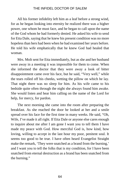All his former infidelity left him as a leaf before a strong wind, for as he began looking into eternity he realized there was a higher power, one whom he must face, and he began to call upon the name of the God whom he had formerly denied. He asked his wife to send for Etta Dale, saying that he knew his present condition was no more hopeless than hers had been when he had examined her years before. He told his wife emphatically that he knew God had healed that woman.

Mrs. Molt sent for Etta immediately, but as she and her husband were away in a meeting it was impossible for them to come. When she informed the doctor that they were away a look of bitter disappointment came over his face, but he said, "Very well," while the tears rolled off his cheeks, wetting the pillow on which he lay. That night there was no sleep for him. As his wife came to his bedside quite often through the night she always found him awake. She would listen and hear him calling on the name of the Lord for help, for mercy, for pardon.

The next morning she came into the room after preparing the breakfast. As she reached the door he looked at her and a smile spread over his face for the first time in many weeks. He said, "Oh, Wife, I've made it all right. If Etta Dale or anyone else cares enough to inquire about me after I am gone I want you to tell them I have made my peace with God. How merciful God is, how kind, how loving, willing to accept in the last hour my poor, penitent soul. It seems too good to be true. I have often heard Evangelist Straight make the remark, 'They were snatched as a brand from the burning,' and I want you to tell the folks that is my condition, for I have been snatched from eternal destruction as a brand has been snatched from the burning."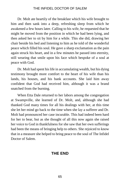Dr. Molt ate heartily of the breakfast which his wife brought to him and then sank into a deep, refreshing sleep from which he awakened a few hours later. Calling to his wife, he requested that he might be moved from the position in which he had been lying, and then asked her to sit by him for a while. This she did, drawing her chair beside his bed and listening to him as he told of the wonderful peace which filled his soul. He gave a sharp exclamation as the pain again struck his heart, and in a few minutes he passed into eternity, still wearing that smile upon his face which bespoke of a soul at peace with God.

Dr. Molt had spent his life in accumulating wealth, but his dying testimony brought more comfort to the heart of his wife than his lands, his houses, and his bank accounts. She laid him away confident that God had received him, although it was a brand snatched from the burning.

When Etta Dale returned to her labors among the congregation at Swampville, she learned of Dr. Molt, and, although she had thanked God many times for all his dealings with her, at this time she let her mind go back to the time when she lay a sufferer and Dr. Molt had pronounced her case incurable. This had indeed been hard for her to bear, but as she thought of all this now again she raised her voice to God in thankfulness for she saw that her own sufferings had been the means of bringing help to others. She rejoiced to know that in a measure she helped to bring peace to the soul of The Infidel Doctor of Salem.

# **THE END**